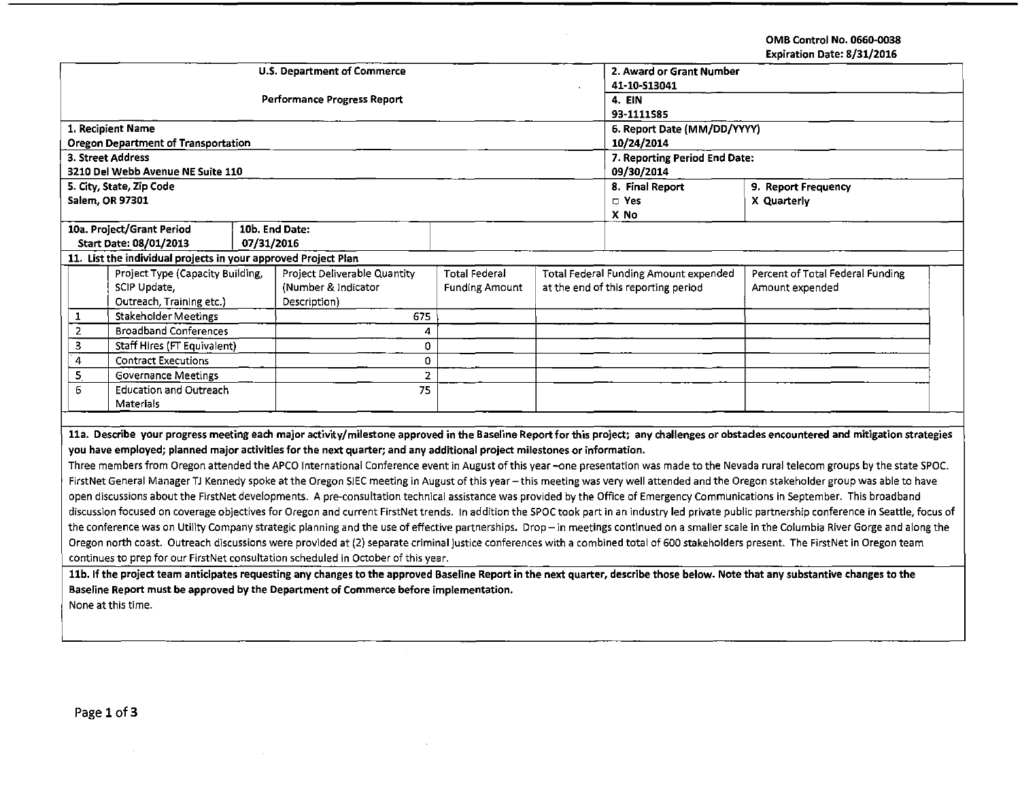OMB Control No. 0660-0038 Expiration Date: 8/31/2016

|                                                                                                                                                                                                |                                                                |            |                                                                                                                         |                       |              |  |                                              | Expiration Date: 8/31/2016                                                                                                                                                           |  |  |
|------------------------------------------------------------------------------------------------------------------------------------------------------------------------------------------------|----------------------------------------------------------------|------------|-------------------------------------------------------------------------------------------------------------------------|-----------------------|--------------|--|----------------------------------------------|--------------------------------------------------------------------------------------------------------------------------------------------------------------------------------------|--|--|
| <b>U.S. Department of Commerce</b>                                                                                                                                                             |                                                                |            |                                                                                                                         |                       |              |  | 2. Award or Grant Number                     |                                                                                                                                                                                      |  |  |
|                                                                                                                                                                                                |                                                                |            |                                                                                                                         |                       | 41-10-S13041 |  |                                              |                                                                                                                                                                                      |  |  |
|                                                                                                                                                                                                |                                                                |            | <b>Performance Progress Report</b>                                                                                      |                       | 4. EIN       |  |                                              |                                                                                                                                                                                      |  |  |
|                                                                                                                                                                                                |                                                                |            |                                                                                                                         |                       | 93-1111585   |  |                                              |                                                                                                                                                                                      |  |  |
|                                                                                                                                                                                                | 1. Recipient Name                                              |            |                                                                                                                         |                       |              |  | 6. Report Date (MM/DD/YYYY)                  |                                                                                                                                                                                      |  |  |
|                                                                                                                                                                                                | Oregon Department of Transportation                            |            |                                                                                                                         |                       |              |  | 10/24/2014                                   |                                                                                                                                                                                      |  |  |
|                                                                                                                                                                                                | 3. Street Address                                              |            |                                                                                                                         |                       |              |  | 7. Reporting Period End Date:                |                                                                                                                                                                                      |  |  |
|                                                                                                                                                                                                | 3210 Del Webb Avenue NE Suite 110                              |            |                                                                                                                         |                       |              |  | 09/30/2014                                   |                                                                                                                                                                                      |  |  |
|                                                                                                                                                                                                | 5. City, State, Zip Code                                       |            |                                                                                                                         |                       |              |  | 8. Final Report                              | 9. Report Frequency                                                                                                                                                                  |  |  |
|                                                                                                                                                                                                | Salem, OR 97301                                                |            |                                                                                                                         |                       |              |  | $\Box$ Yes                                   | X Quarterly                                                                                                                                                                          |  |  |
|                                                                                                                                                                                                |                                                                |            |                                                                                                                         |                       |              |  | X No                                         |                                                                                                                                                                                      |  |  |
|                                                                                                                                                                                                | 10a. Project/Grant Period                                      |            | 10b. End Date:                                                                                                          |                       |              |  |                                              |                                                                                                                                                                                      |  |  |
|                                                                                                                                                                                                | Start Date: 08/01/2013                                         | 07/31/2016 |                                                                                                                         |                       |              |  |                                              |                                                                                                                                                                                      |  |  |
|                                                                                                                                                                                                | 11. List the individual projects in your approved Project Plan |            |                                                                                                                         |                       |              |  |                                              |                                                                                                                                                                                      |  |  |
|                                                                                                                                                                                                | Project Type (Capacity Building,                               |            | Project Deliverable Quantity                                                                                            | <b>Total Federal</b>  |              |  | <b>Total Federal Funding Amount expended</b> | Percent of Total Federal Funding                                                                                                                                                     |  |  |
|                                                                                                                                                                                                | SCIP Update,                                                   |            | (Number & Indicator                                                                                                     | <b>Funding Amount</b> |              |  | at the end of this reporting period          | Amount expended                                                                                                                                                                      |  |  |
|                                                                                                                                                                                                | Outreach, Training etc.)                                       |            | Description)                                                                                                            |                       |              |  |                                              |                                                                                                                                                                                      |  |  |
| 1                                                                                                                                                                                              | Stakeholder Meetings                                           |            | 675                                                                                                                     |                       |              |  |                                              |                                                                                                                                                                                      |  |  |
| $\overline{2}$                                                                                                                                                                                 | <b>Broadband Conferences</b>                                   |            | 4                                                                                                                       |                       |              |  |                                              |                                                                                                                                                                                      |  |  |
| 3                                                                                                                                                                                              | Staff Hires (FT Equivalent)                                    |            | 0                                                                                                                       |                       |              |  |                                              |                                                                                                                                                                                      |  |  |
| $\overline{4}$                                                                                                                                                                                 | <b>Contract Executions</b>                                     |            | 0                                                                                                                       |                       |              |  |                                              |                                                                                                                                                                                      |  |  |
| 5                                                                                                                                                                                              | Governance Meetings                                            |            | 2 <sup>1</sup>                                                                                                          |                       |              |  |                                              |                                                                                                                                                                                      |  |  |
| 6                                                                                                                                                                                              | <b>Education and Outreach</b>                                  |            | 75                                                                                                                      |                       |              |  |                                              |                                                                                                                                                                                      |  |  |
| Materials                                                                                                                                                                                      |                                                                |            |                                                                                                                         |                       |              |  |                                              |                                                                                                                                                                                      |  |  |
|                                                                                                                                                                                                |                                                                |            |                                                                                                                         |                       |              |  |                                              |                                                                                                                                                                                      |  |  |
|                                                                                                                                                                                                |                                                                |            |                                                                                                                         |                       |              |  |                                              | 11a. Describe your progress meeting each major activity/milestone approved in the Baseline Report for this project; any challenges or obstades encountered and mitigation strategies |  |  |
|                                                                                                                                                                                                |                                                                |            | you have employed; planned major activities for the next quarter; and any additional project milestones or information. |                       |              |  |                                              |                                                                                                                                                                                      |  |  |
| Three members from Oregon attended the APCO International Conference event in August of this year -one presentation was made to the Nevada rural telecom groups by the state SPOC.             |                                                                |            |                                                                                                                         |                       |              |  |                                              |                                                                                                                                                                                      |  |  |
| FirstNet General Manager TJ Kennedy spoke at the Oregon SIEC meeting in August of this year - this meeting was very well attended and the Oregon stakeholder group was able to have            |                                                                |            |                                                                                                                         |                       |              |  |                                              |                                                                                                                                                                                      |  |  |
| open discussions about the FirstNet developments. A pre-consultation technical assistance was provided by the Office of Emergency Communications in September. This broadband                  |                                                                |            |                                                                                                                         |                       |              |  |                                              |                                                                                                                                                                                      |  |  |
| discussion focused on coverage objectives for Oregon and current FirstNet trends. In addition the SPOC took part in an industry led private public partnership conference in Seattle, focus of |                                                                |            |                                                                                                                         |                       |              |  |                                              |                                                                                                                                                                                      |  |  |
| the conference was on Utility Company strategic planning and the use of effective partnerships. Drop - in meetings continued on a smaller scale in the Columbia River Gorge and along the      |                                                                |            |                                                                                                                         |                       |              |  |                                              |                                                                                                                                                                                      |  |  |
| Oregon north coast. Outreach discussions were provided at (2) separate criminal justice conferences with a combined total of 600 stakeholders present. The FirstNet in Oregon team             |                                                                |            |                                                                                                                         |                       |              |  |                                              |                                                                                                                                                                                      |  |  |
| continues to prep for our FirstNet consultation scheduled in October of this year.                                                                                                             |                                                                |            |                                                                                                                         |                       |              |  |                                              |                                                                                                                                                                                      |  |  |
| 11b. If the project team anticipates requesting any changes to the approved Baseline Report in the next quarter, describe those below. Note that any substantive changes to the                |                                                                |            |                                                                                                                         |                       |              |  |                                              |                                                                                                                                                                                      |  |  |
|                                                                                                                                                                                                |                                                                |            |                                                                                                                         |                       |              |  |                                              |                                                                                                                                                                                      |  |  |
|                                                                                                                                                                                                |                                                                |            | Baseline Report must be approved by the Department of Commerce before implementation.                                   |                       |              |  |                                              |                                                                                                                                                                                      |  |  |
|                                                                                                                                                                                                | None at this time.                                             |            |                                                                                                                         |                       |              |  |                                              |                                                                                                                                                                                      |  |  |

 $\mathcal{L}^{\text{max}}_{\text{max}}$ 

 $\sim 10^{11}$ 

 $\sim 10^{11}$  km s  $^{-1}$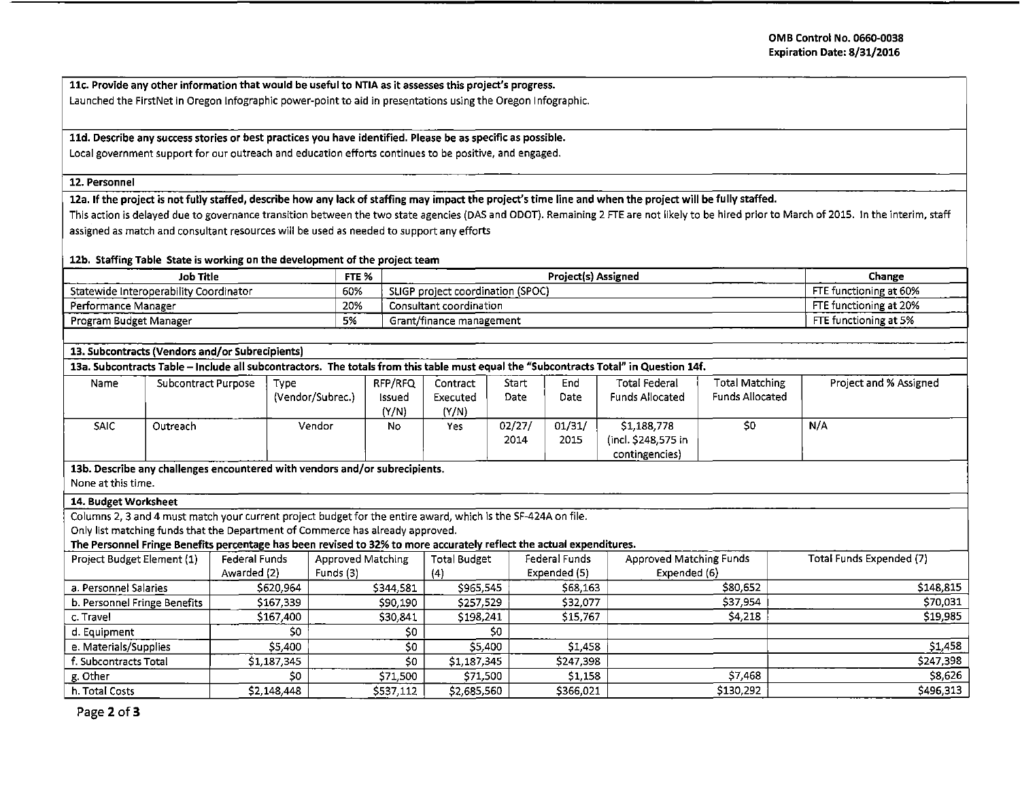llc. Provide any other information that would be useful to NTIA as it assesses this project's progress. Launched the FirstNet in Oregon lnfographic power-point to aid in presentations using the Oregon I nfographic.

## lld. Describe any success stories or best practices you have identified. Please be as specific as possible.

Local government support for our outreach and education efforts continues to be positive, and engaged.

#### 12. Personnel

12a. If the project is not fully staffed, describe how any lack of staffing may impact the project's time line and when the project will be fully staffed.

This action is delayed due to governance transition between the two state agencies (DAS and ODOT). Remaining 2 FTE are not likely to be hired prior to March of 2015. In the interim, staff assigned as match and consultant resources will be used as needed to support any efforts

### 12b. Staffing Table State is working on the development of the project team

| Job Title                              | FTE % | <b>Project(s) Assigned</b>        | Change                 |
|----------------------------------------|-------|-----------------------------------|------------------------|
| Statewide Interoperability Coordinator | 60%   | SLIGP project coordination (SPOC) | FTE functioning at 60% |
| Performance Manager                    | 20%   | Consultant coordination           | FTE functioning at 20% |
| Program Budget Manager                 | 5%    | Grant/finance management          | FTE functioning at 5%  |
|                                        |       |                                   |                        |

### 13. Subcontracts (Vendors and/or Subrecipients)

13a. Subcontracts Table – Include all subcontractors. The totals from this table must equal the "Subcontracts Total" in Question 14f.

| Name        | Subcontract Purpose | Type             | RFP/RFQ | Contract | Start  | End    | <b>Total Federal</b>   | <b>Total Matching</b>  | Project and % Assigned |
|-------------|---------------------|------------------|---------|----------|--------|--------|------------------------|------------------------|------------------------|
|             |                     | (Vendor/Subrec.) | Issued  | Executed | Date   | Date   | <b>Funds Allocated</b> | <b>Funds Allocated</b> |                        |
|             |                     |                  | (Y/N)   | (Y/N)    |        |        |                        |                        |                        |
| <b>SAIC</b> | Outreach            | Vendor           | No      | Yes      | 02/27/ | 01/31/ | \$1,188,778            | \$0                    | N/A                    |
|             |                     |                  |         |          | 2014   | 2015   | incl. \$248,575 in)    |                        |                        |
|             | ______              |                  |         |          |        |        | contingencies)         |                        |                        |

13b. Describe any challenges encountered with vendors and/or subrecipients.

None at this time.

### 14. Budget Worksheet

Columns 2, 3 and 4 must match your current project budget for the entire award, which is the SF-424A on file.

Only list matching funds that the Department of Commerce has already approved.

The Personnel Fringe Benefits percentage has been revised to 32% to more accurately reflect the actual expenditures.

| Project Budget Element (1)   | <b>Federal Funds</b> | Approved Matching | <b>Total Budget</b> | Federal Funds | Approved Matching Funds | Total Funds Expended (7) |
|------------------------------|----------------------|-------------------|---------------------|---------------|-------------------------|--------------------------|
|                              | Awarded (2)          | Funds (3)         | $\{4$               | Expended (5)  | Expended (6)            |                          |
| a. Personnel Salaries        | \$620,964            | \$344,581         | \$965,545           | \$68,163      | \$80,652                | \$148.815                |
| b. Personnel Fringe Benefits | \$167.339            | \$90,190          | \$257,529           | \$32,077      | \$37.954                | \$70,031                 |
| c. Travel                    | \$167,400            | \$30,841          | \$198,241           | \$15,767      | <b>S4,218</b>           | \$19,985                 |
| d. Eauipment                 | SO.                  | \$0               | \$0                 |               |                         |                          |
| e. Materials/Supplies        | \$5,400              | S0                | \$5,400             | \$1,458       |                         | \$1,458                  |
| f. Subcontracts Total        | \$1,187,345          | \$0               | \$1,187,345         | \$247,398     |                         | \$247,398                |
| g. Other                     | \$0                  | \$71,500          | \$71,500            | 51.158        | 57.468                  | \$8,626                  |
| h. Total Costs               | \$2,148,448          | \$537,112         | \$2,685,560         | \$366.021     | \$130,292               | \$496,313                |